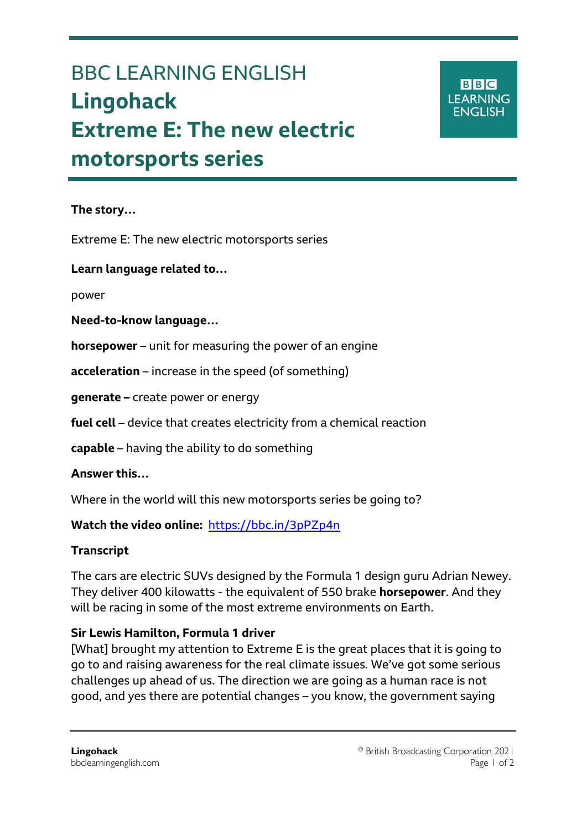# BBC LEARNING ENGLISH **Lingohack Extreme E: The new electric motorsports series**

**BBC LEARNING ENGLISH** 

#### **The story…**

Ξ

Extreme E: The new electric motorsports series

**Learn language related to…**

power

**Need-to-know language…**

**horsepower** – unit for measuring the power of an engine

**acceleration** – increase in the speed (of something)

**generate –** create power or energy

**fuel cell** – device that creates electricity from a chemical reaction

**capable** – having the ability to do something

**Answer this…**

Where in the world will this new motorsports series be going to?

**Watch the video online:** <https://bbc.in/3pPZp4n>

### **Transcript**

The cars are electric SUVs designed by the Formula 1 design guru Adrian Newey. They deliver 400 kilowatts - the equivalent of 550 brake **horsepower**. And they will be racing in some of the most extreme environments on Earth.

### **Sir Lewis Hamilton, Formula 1 driver**

[What] brought my attention to Extreme E is the great places that it is going to go to and raising awareness for the real climate issues. We've got some serious challenges up ahead of us. The direction we are going as a human race is not good, and yes there are potential changes – you know, the government saying